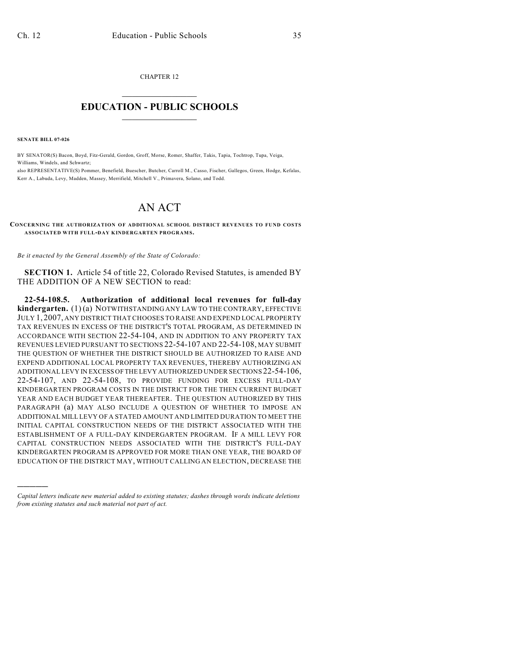CHAPTER 12  $\overline{\phantom{a}}$  . The set of the set of the set of the set of the set of the set of the set of the set of the set of the set of the set of the set of the set of the set of the set of the set of the set of the set of the set o

## **EDUCATION - PUBLIC SCHOOLS**  $\_$   $\_$   $\_$   $\_$   $\_$   $\_$   $\_$   $\_$   $\_$

**SENATE BILL 07-026**

)))))

BY SENATOR(S) Bacon, Boyd, Fitz-Gerald, Gordon, Groff, Morse, Romer, Shaffer, Takis, Tapia, Tochtrop, Tupa, Veiga, Williams, Windels, and Schwartz;

also REPRESENTATIVE(S) Pommer, Benefield, Buescher, Butcher, Carroll M., Casso, Fischer, Gallegos, Green, Hodge, Kefalas, Kerr A., Labuda, Levy, Madden, Massey, Merrifield, Mitchell V., Primavera, Solano, and Todd.

## AN ACT

**CONCERNING THE AUTHORIZATION OF ADDITIONAL SCHOOL DISTRICT REVENUES TO FUND COSTS ASSOCIATED WITH FULL-DAY KINDERGARTEN PROGRAM S.**

*Be it enacted by the General Assembly of the State of Colorado:*

**SECTION 1.** Article 54 of title 22, Colorado Revised Statutes, is amended BY THE ADDITION OF A NEW SECTION to read:

**22-54-108.5. Authorization of additional local revenues for full-day kindergarten.** (1) (a) NOTWITHSTANDING ANY LAW TO THE CONTRARY, EFFECTIVE JULY 1, 2007, ANY DISTRICT THAT CHOOSES TO RAISE AND EXPEND LOCAL PROPERTY TAX REVENUES IN EXCESS OF THE DISTRICT'S TOTAL PROGRAM, AS DETERMINED IN ACCORDANCE WITH SECTION 22-54-104, AND IN ADDITION TO ANY PROPERTY TAX REVENUES LEVIED PURSUANT TO SECTIONS 22-54-107 AND 22-54-108, MAY SUBMIT THE QUESTION OF WHETHER THE DISTRICT SHOULD BE AUTHORIZED TO RAISE AND EXPEND ADDITIONAL LOCAL PROPERTY TAX REVENUES, THEREBY AUTHORIZING AN ADDITIONAL LEVY IN EXCESS OF THE LEVY AUTHORIZED UNDER SECTIONS 22-54-106, 22-54-107, AND 22-54-108, TO PROVIDE FUNDING FOR EXCESS FULL-DAY KINDERGARTEN PROGRAM COSTS IN THE DISTRICT FOR THE THEN CURRENT BUDGET YEAR AND EACH BUDGET YEAR THEREAFTER. THE QUESTION AUTHORIZED BY THIS PARAGRAPH (a) MAY ALSO INCLUDE A QUESTION OF WHETHER TO IMPOSE AN ADDITIONAL MILL LEVY OF A STATED AMOUNT AND LIMITED DURATION TO MEET THE INITIAL CAPITAL CONSTRUCTION NEEDS OF THE DISTRICT ASSOCIATED WITH THE ESTABLISHMENT OF A FULL-DAY KINDERGARTEN PROGRAM. IF A MILL LEVY FOR CAPITAL CONSTRUCTION NEEDS ASSOCIATED WITH THE DISTRICT'S FULL-DAY KINDERGARTEN PROGRAM IS APPROVED FOR MORE THAN ONE YEAR, THE BOARD OF EDUCATION OF THE DISTRICT MAY, WITHOUT CALLING AN ELECTION, DECREASE THE

*Capital letters indicate new material added to existing statutes; dashes through words indicate deletions from existing statutes and such material not part of act.*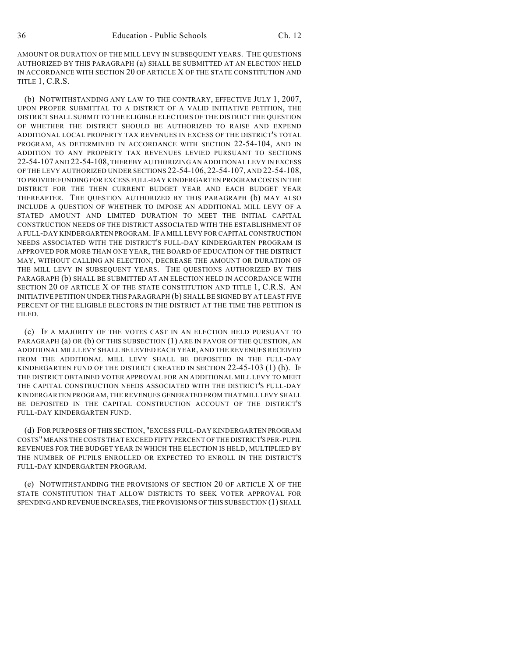AMOUNT OR DURATION OF THE MILL LEVY IN SUBSEQUENT YEARS. THE QUESTIONS AUTHORIZED BY THIS PARAGRAPH (a) SHALL BE SUBMITTED AT AN ELECTION HELD IN ACCORDANCE WITH SECTION 20 OF ARTICLE X OF THE STATE CONSTITUTION AND TITLE 1, C.R.S.

(b) NOTWITHSTANDING ANY LAW TO THE CONTRARY, EFFECTIVE JULY 1, 2007, UPON PROPER SUBMITTAL TO A DISTRICT OF A VALID INITIATIVE PETITION, THE DISTRICT SHALL SUBMIT TO THE ELIGIBLE ELECTORS OF THE DISTRICT THE QUESTION OF WHETHER THE DISTRICT SHOULD BE AUTHORIZED TO RAISE AND EXPEND ADDITIONAL LOCAL PROPERTY TAX REVENUES IN EXCESS OF THE DISTRICT'S TOTAL PROGRAM, AS DETERMINED IN ACCORDANCE WITH SECTION 22-54-104, AND IN ADDITION TO ANY PROPERTY TAX REVENUES LEVIED PURSUANT TO SECTIONS 22-54-107 AND 22-54-108, THEREBY AUTHORIZING AN ADDITIONAL LEVY IN EXCESS OF THE LEVY AUTHORIZED UNDER SECTIONS 22-54-106, 22-54-107, AND 22-54-108, TO PROVIDE FUNDING FOR EXCESS FULL-DAY KINDERGARTEN PROGRAM COSTS IN THE DISTRICT FOR THE THEN CURRENT BUDGET YEAR AND EACH BUDGET YEAR THEREAFTER. THE QUESTION AUTHORIZED BY THIS PARAGRAPH (b) MAY ALSO INCLUDE A QUESTION OF WHETHER TO IMPOSE AN ADDITIONAL MILL LEVY OF A STATED AMOUNT AND LIMITED DURATION TO MEET THE INITIAL CAPITAL CONSTRUCTION NEEDS OF THE DISTRICT ASSOCIATED WITH THE ESTABLISHMENT OF A FULL-DAY KINDERGARTEN PROGRAM. IF A MILL LEVY FOR CAPITAL CONSTRUCTION NEEDS ASSOCIATED WITH THE DISTRICT'S FULL-DAY KINDERGARTEN PROGRAM IS APPROVED FOR MORE THAN ONE YEAR, THE BOARD OF EDUCATION OF THE DISTRICT MAY, WITHOUT CALLING AN ELECTION, DECREASE THE AMOUNT OR DURATION OF THE MILL LEVY IN SUBSEQUENT YEARS. THE QUESTIONS AUTHORIZED BY THIS PARAGRAPH (b) SHALL BE SUBMITTED AT AN ELECTION HELD IN ACCORDANCE WITH SECTION 20 OF ARTICLE X OF THE STATE CONSTITUTION AND TITLE 1, C.R.S. AN INITIATIVE PETITION UNDER THIS PARAGRAPH (b) SHALL BE SIGNED BY AT LEAST FIVE PERCENT OF THE ELIGIBLE ELECTORS IN THE DISTRICT AT THE TIME THE PETITION IS FILED.

(c) IF A MAJORITY OF THE VOTES CAST IN AN ELECTION HELD PURSUANT TO PARAGRAPH (a) OR (b) OF THIS SUBSECTION (1) ARE IN FAVOR OF THE QUESTION, AN ADDITIONAL MILL LEVY SHALL BE LEVIED EACH YEAR, AND THE REVENUES RECEIVED FROM THE ADDITIONAL MILL LEVY SHALL BE DEPOSITED IN THE FULL-DAY KINDERGARTEN FUND OF THE DISTRICT CREATED IN SECTION 22-45-103 (1) (h). IF THE DISTRICT OBTAINED VOTER APPROVAL FOR AN ADDITIONAL MILL LEVY TO MEET THE CAPITAL CONSTRUCTION NEEDS ASSOCIATED WITH THE DISTRICT'S FULL-DAY KINDERGARTEN PROGRAM, THE REVENUES GENERATED FROM THAT MILL LEVY SHALL BE DEPOSITED IN THE CAPITAL CONSTRUCTION ACCOUNT OF THE DISTRICT'S FULL-DAY KINDERGARTEN FUND.

(d) FOR PURPOSES OF THIS SECTION, "EXCESS FULL-DAY KINDERGARTEN PROGRAM COSTS" MEANS THE COSTS THAT EXCEED FIFTY PERCENT OF THE DISTRICT'S PER-PUPIL REVENUES FOR THE BUDGET YEAR IN WHICH THE ELECTION IS HELD, MULTIPLIED BY THE NUMBER OF PUPILS ENROLLED OR EXPECTED TO ENROLL IN THE DISTRICT'S FULL-DAY KINDERGARTEN PROGRAM.

(e) NOTWITHSTANDING THE PROVISIONS OF SECTION 20 OF ARTICLE X OF THE STATE CONSTITUTION THAT ALLOW DISTRICTS TO SEEK VOTER APPROVAL FOR SPENDING AND REVENUE INCREASES, THE PROVISIONS OF THIS SUBSECTION (1) SHALL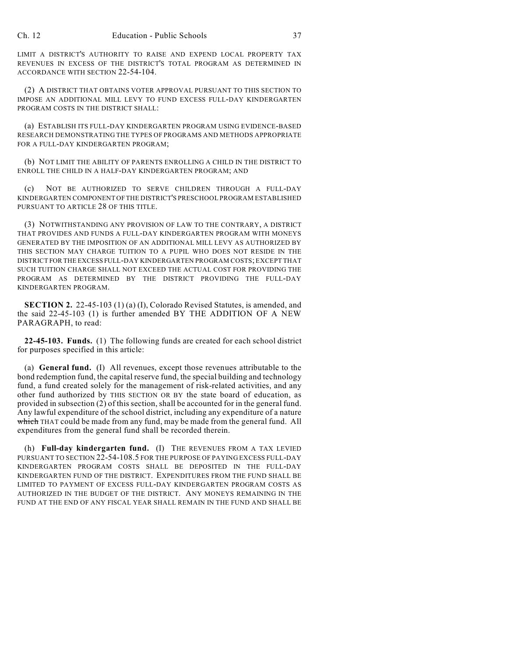LIMIT A DISTRICT'S AUTHORITY TO RAISE AND EXPEND LOCAL PROPERTY TAX REVENUES IN EXCESS OF THE DISTRICT'S TOTAL PROGRAM AS DETERMINED IN ACCORDANCE WITH SECTION 22-54-104.

(2) A DISTRICT THAT OBTAINS VOTER APPROVAL PURSUANT TO THIS SECTION TO IMPOSE AN ADDITIONAL MILL LEVY TO FUND EXCESS FULL-DAY KINDERGARTEN PROGRAM COSTS IN THE DISTRICT SHALL:

(a) ESTABLISH ITS FULL-DAY KINDERGARTEN PROGRAM USING EVIDENCE-BASED RESEARCH DEMONSTRATING THE TYPES OF PROGRAMS AND METHODS APPROPRIATE FOR A FULL-DAY KINDERGARTEN PROGRAM;

(b) NOT LIMIT THE ABILITY OF PARENTS ENROLLING A CHILD IN THE DISTRICT TO ENROLL THE CHILD IN A HALF-DAY KINDERGARTEN PROGRAM; AND

(c) NOT BE AUTHORIZED TO SERVE CHILDREN THROUGH A FULL-DAY KINDERGARTEN COMPONENT OF THE DISTRICT'S PRESCHOOL PROGRAM ESTABLISHED PURSUANT TO ARTICLE 28 OF THIS TITLE.

(3) NOTWITHSTANDING ANY PROVISION OF LAW TO THE CONTRARY, A DISTRICT THAT PROVIDES AND FUNDS A FULL-DAY KINDERGARTEN PROGRAM WITH MONEYS GENERATED BY THE IMPOSITION OF AN ADDITIONAL MILL LEVY AS AUTHORIZED BY THIS SECTION MAY CHARGE TUITION TO A PUPIL WHO DOES NOT RESIDE IN THE DISTRICT FOR THE EXCESS FULL-DAY KINDERGARTEN PROGRAM COSTS; EXCEPT THAT SUCH TUITION CHARGE SHALL NOT EXCEED THE ACTUAL COST FOR PROVIDING THE PROGRAM AS DETERMINED BY THE DISTRICT PROVIDING THE FULL-DAY KINDERGARTEN PROGRAM.

**SECTION 2.** 22-45-103 (1) (a) (I), Colorado Revised Statutes, is amended, and the said 22-45-103 (1) is further amended BY THE ADDITION OF A NEW PARAGRAPH, to read:

**22-45-103. Funds.** (1) The following funds are created for each school district for purposes specified in this article:

(a) **General fund.** (I) All revenues, except those revenues attributable to the bond redemption fund, the capital reserve fund, the special building and technology fund, a fund created solely for the management of risk-related activities, and any other fund authorized by THIS SECTION OR BY the state board of education, as provided in subsection (2) of this section, shall be accounted for in the general fund. Any lawful expenditure of the school district, including any expenditure of a nature which THAT could be made from any fund, may be made from the general fund. All expenditures from the general fund shall be recorded therein.

(h) **Full-day kindergarten fund.** (I) THE REVENUES FROM A TAX LEVIED PURSUANT TO SECTION 22-54-108.5 FOR THE PURPOSE OF PAYING EXCESS FULL-DAY KINDERGARTEN PROGRAM COSTS SHALL BE DEPOSITED IN THE FULL-DAY KINDERGARTEN FUND OF THE DISTRICT. EXPENDITURES FROM THE FUND SHALL BE LIMITED TO PAYMENT OF EXCESS FULL-DAY KINDERGARTEN PROGRAM COSTS AS AUTHORIZED IN THE BUDGET OF THE DISTRICT. ANY MONEYS REMAINING IN THE FUND AT THE END OF ANY FISCAL YEAR SHALL REMAIN IN THE FUND AND SHALL BE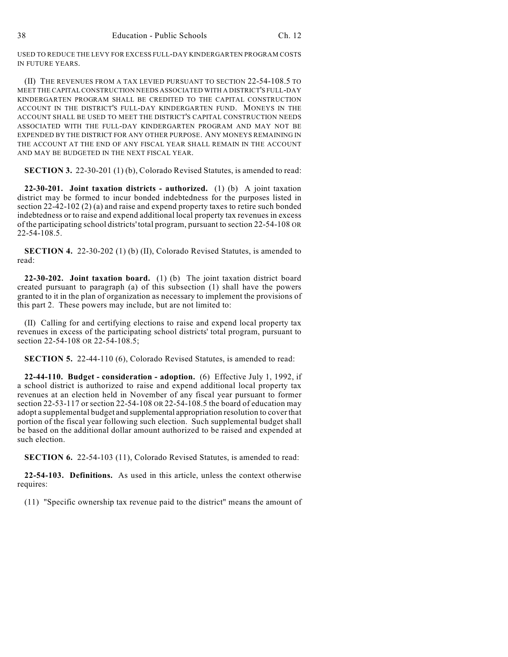USED TO REDUCE THE LEVY FOR EXCESS FULL-DAY KINDERGARTEN PROGRAM COSTS IN FUTURE YEARS.

(II) THE REVENUES FROM A TAX LEVIED PURSUANT TO SECTION 22-54-108.5 TO MEET THE CAPITAL CONSTRUCTION NEEDS ASSOCIATED WITH A DISTRICT'S FULL-DAY KINDERGARTEN PROGRAM SHALL BE CREDITED TO THE CAPITAL CONSTRUCTION ACCOUNT IN THE DISTRICT'S FULL-DAY KINDERGARTEN FUND. MONEYS IN THE ACCOUNT SHALL BE USED TO MEET THE DISTRICT'S CAPITAL CONSTRUCTION NEEDS ASSOCIATED WITH THE FULL-DAY KINDERGARTEN PROGRAM AND MAY NOT BE EXPENDED BY THE DISTRICT FOR ANY OTHER PURPOSE. ANY MONEYS REMAINING IN THE ACCOUNT AT THE END OF ANY FISCAL YEAR SHALL REMAIN IN THE ACCOUNT AND MAY BE BUDGETED IN THE NEXT FISCAL YEAR.

**SECTION 3.** 22-30-201 (1) (b), Colorado Revised Statutes, is amended to read:

**22-30-201. Joint taxation districts - authorized.** (1) (b) A joint taxation district may be formed to incur bonded indebtedness for the purposes listed in section 22-42-102 (2) (a) and raise and expend property taxes to retire such bonded indebtedness or to raise and expend additional local property tax revenues in excess of the participating school districts' total program, pursuant to section 22-54-108 OR 22-54-108.5.

**SECTION 4.** 22-30-202 (1) (b) (II), Colorado Revised Statutes, is amended to read:

**22-30-202. Joint taxation board.** (1) (b) The joint taxation district board created pursuant to paragraph (a) of this subsection (1) shall have the powers granted to it in the plan of organization as necessary to implement the provisions of this part 2. These powers may include, but are not limited to:

(II) Calling for and certifying elections to raise and expend local property tax revenues in excess of the participating school districts' total program, pursuant to section 22-54-108 OR 22-54-108.5;

**SECTION 5.** 22-44-110 (6), Colorado Revised Statutes, is amended to read:

**22-44-110. Budget - consideration - adoption.** (6) Effective July 1, 1992, if a school district is authorized to raise and expend additional local property tax revenues at an election held in November of any fiscal year pursuant to former section 22-53-117 or section 22-54-108 OR 22-54-108.5 the board of education may adopt a supplemental budget and supplemental appropriation resolution to cover that portion of the fiscal year following such election. Such supplemental budget shall be based on the additional dollar amount authorized to be raised and expended at such election.

**SECTION 6.** 22-54-103 (11), Colorado Revised Statutes, is amended to read:

**22-54-103. Definitions.** As used in this article, unless the context otherwise requires:

(11) "Specific ownership tax revenue paid to the district" means the amount of